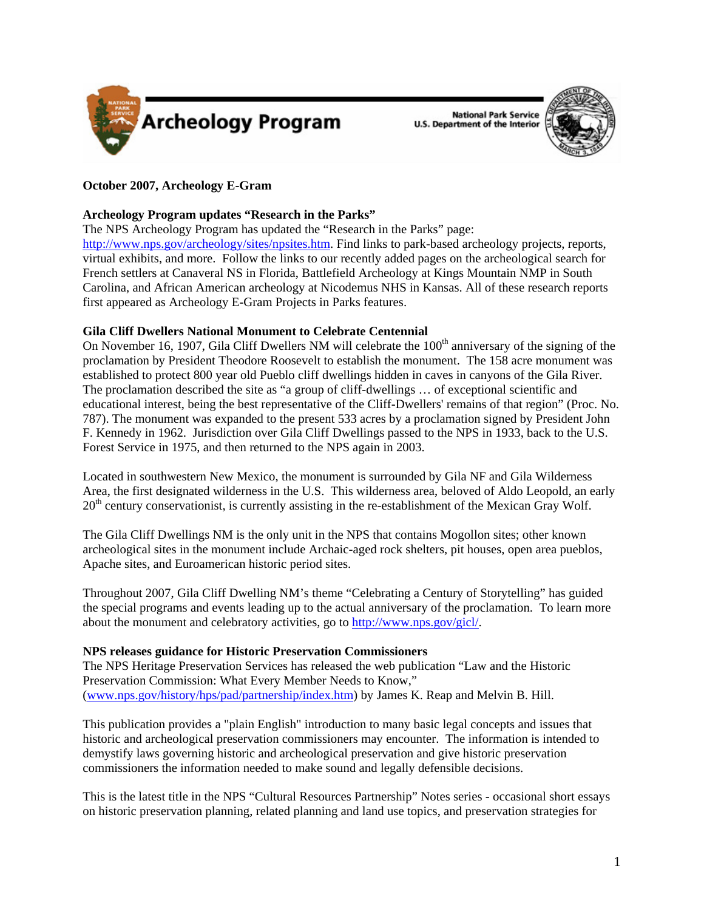

**National Park Service U.S. Department of the Interior** 



# **October 2007, Archeology E-Gram**

# **Archeology Program updates "Research in the Parks"**

The NPS Archeology Program has updated the "Research in the Parks" page:

<http://www.nps.gov/archeology/sites/npsites.htm>. Find links to park-based archeology projects, reports, virtual exhibits, and more. Follow the links to our recently added pages on the archeological search for French settlers at Canaveral NS in Florida, Battlefield Archeology at Kings Mountain NMP in South Carolina, and African American archeology at Nicodemus NHS in Kansas. All of these research reports first appeared as Archeology E-Gram Projects in Parks features.

## **Gila Cliff Dwellers National Monument to Celebrate Centennial**

On November 16, 1907, Gila Cliff Dwellers NM will celebrate the 100<sup>th</sup> anniversary of the signing of the proclamation by President Theodore Roosevelt to establish the monument. The 158 acre monument was established to protect 800 year old Pueblo cliff dwellings hidden in caves in canyons of the Gila River. The proclamation described the site as "a group of cliff-dwellings … of exceptional scientific and educational interest, being the best representative of the Cliff-Dwellers' remains of that region" (Proc. No. 787). The monument was expanded to the present 533 acres by a proclamation signed by President John F. Kennedy in 1962. Jurisdiction over Gila Cliff Dwellings passed to the NPS in 1933, back to the U.S. Forest Service in 1975, and then returned to the NPS again in 2003.

Located in southwestern New Mexico, the monument is surrounded by Gila NF and Gila Wilderness Area, the first designated wilderness in the U.S. This wilderness area, beloved of Aldo Leopold, an early  $20<sup>th</sup>$  century conservationist, is currently assisting in the re-establishment of the Mexican Gray Wolf.

The Gila Cliff Dwellings NM is the only unit in the NPS that contains Mogollon sites; other known archeological sites in the monument include Archaic-aged rock shelters, pit houses, open area pueblos, Apache sites, and Euroamerican historic period sites.

Throughout 2007, Gila Cliff Dwelling NM's theme "Celebrating a Century of Storytelling" has guided the special programs and events leading up to the actual anniversary of the proclamation. To learn more about the monument and celebratory activities, go to<http://www.nps.gov/gicl/>.

# **NPS releases guidance for Historic Preservation Commissioners**

The NPS Heritage Preservation Services has released the web publication "Law and the Historic Preservation Commission: What Every Member Needs to Know," ([www.nps.gov/history/hps/pad/partnership/index.htm\)](www.nps.gov/history/hps/pad/partnership/index.htm) by James K. Reap and Melvin B. Hill.

This publication provides a "plain English" introduction to many basic legal concepts and issues that historic and archeological preservation commissioners may encounter. The information is intended to demystify laws governing historic and archeological preservation and give historic preservation commissioners the information needed to make sound and legally defensible decisions.

This is the latest title in the NPS "Cultural Resources Partnership" Notes series - occasional short essays on historic preservation planning, related planning and land use topics, and preservation strategies for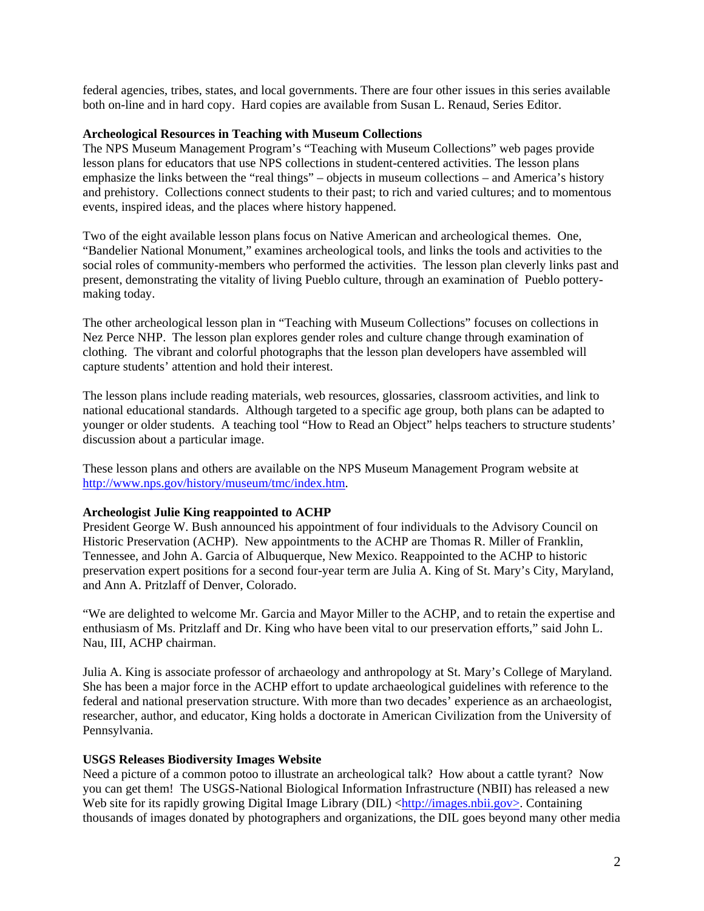federal agencies, tribes, states, and local governments. There are four other issues in this series available both on-line and in hard copy. Hard copies are available from Susan L. Renaud, Series Editor.

## **Archeological Resources in Teaching with Museum Collections**

The NPS Museum Management Program's "Teaching with Museum Collections" web pages provide lesson plans for educators that use NPS collections in student-centered activities. The lesson plans emphasize the links between the "real things" – objects in museum collections – and America's history and prehistory. Collections connect students to their past; to rich and varied cultures; and to momentous events, inspired ideas, and the places where history happened.

Two of the eight available lesson plans focus on Native American and archeological themes. One, "Bandelier National Monument," examines archeological tools, and links the tools and activities to the social roles of community-members who performed the activities. The lesson plan cleverly links past and present, demonstrating the vitality of living Pueblo culture, through an examination of Pueblo potterymaking today.

The other archeological lesson plan in "Teaching with Museum Collections" focuses on collections in Nez Perce NHP. The lesson plan explores gender roles and culture change through examination of clothing. The vibrant and colorful photographs that the lesson plan developers have assembled will capture students' attention and hold their interest.

The lesson plans include reading materials, web resources, glossaries, classroom activities, and link to national educational standards. Although targeted to a specific age group, both plans can be adapted to younger or older students. A teaching tool "How to Read an Object" helps teachers to structure students' discussion about a particular image.

These lesson plans and others are available on the NPS Museum Management Program website at <http://www.nps.gov/history/museum/tmc/index.htm>.

## **Archeologist Julie King reappointed to ACHP**

President George W. Bush announced his appointment of four individuals to the Advisory Council on Historic Preservation (ACHP). New appointments to the ACHP are Thomas R. Miller of Franklin, Tennessee, and John A. Garcia of Albuquerque, New Mexico. Reappointed to the ACHP to historic preservation expert positions for a second four-year term are Julia A. King of St. Mary's City, Maryland, and Ann A. Pritzlaff of Denver, Colorado.

"We are delighted to welcome Mr. Garcia and Mayor Miller to the ACHP, and to retain the expertise and enthusiasm of Ms. Pritzlaff and Dr. King who have been vital to our preservation efforts," said John L. Nau, III, ACHP chairman.

Julia A. King is associate professor of archaeology and anthropology at St. Mary's College of Maryland. She has been a major force in the ACHP effort to update archaeological guidelines with reference to the federal and national preservation structure. With more than two decades' experience as an archaeologist, researcher, author, and educator, King holds a doctorate in American Civilization from the University of Pennsylvania.

### **USGS Releases Biodiversity Images Website**

Need a picture of a common potoo to illustrate an archeological talk? How about a cattle tyrant? Now you can get them! The USGS-National Biological Information Infrastructure (NBII) has released a new Web site for its rapidly growing Digital Image Library (DIL) [<http://images.nbii.gov](http://images.nbii.gov)>. Containing thousands of images donated by photographers and organizations, the DIL goes beyond many other media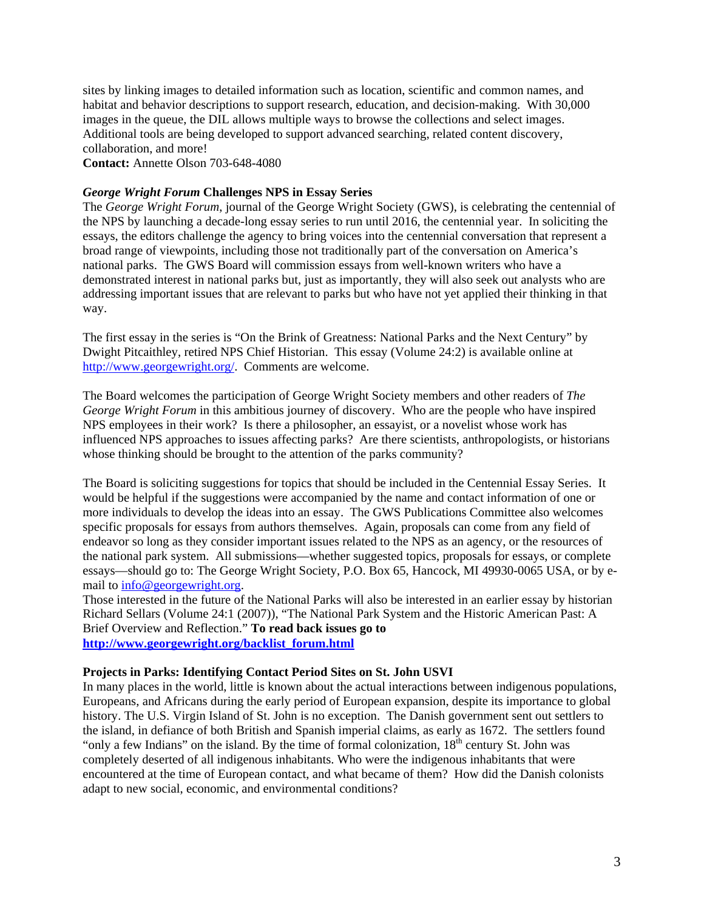sites by linking images to detailed information such as location, scientific and common names, and habitat and behavior descriptions to support research, education, and decision-making. With 30,000 images in the queue, the DIL allows multiple ways to browse the collections and select images. Additional tools are being developed to support advanced searching, related content discovery, collaboration, and more! **Contact:** Annette Olson 703-648-4080

# *George Wright Forum* **Challenges NPS in Essay Series**

The *George Wright Forum*, journal of the George Wright Society (GWS), is celebrating the centennial of the NPS by launching a decade-long essay series to run until 2016, the centennial year. In soliciting the essays, the editors challenge the agency to bring voices into the centennial conversation that represent a broad range of viewpoints, including those not traditionally part of the conversation on America's national parks. The GWS Board will commission essays from well-known writers who have a demonstrated interest in national parks but, just as importantly, they will also seek out analysts who are addressing important issues that are relevant to parks but who have not yet applied their thinking in that way.

The first essay in the series is "On the Brink of Greatness: National Parks and the Next Century" by Dwight Pitcaithley, retired NPS Chief Historian. This essay (Volume 24:2) is available online at <http://www.georgewright.org/>. Comments are welcome.

The Board welcomes the participation of George Wright Society members and other readers of *The George Wright Forum* in this ambitious journey of discovery. Who are the people who have inspired NPS employees in their work? Is there a philosopher, an essayist, or a novelist whose work has influenced NPS approaches to issues affecting parks? Are there scientists, anthropologists, or historians whose thinking should be brought to the attention of the parks community?

The Board is soliciting suggestions for topics that should be included in the Centennial Essay Series. It would be helpful if the suggestions were accompanied by the name and contact information of one or more individuals to develop the ideas into an essay. The GWS Publications Committee also welcomes specific proposals for essays from authors themselves. Again, proposals can come from any field of endeavor so long as they consider important issues related to the NPS as an agency, or the resources of the national park system. All submissions—whether suggested topics, proposals for essays, or complete essays—should go to: The George Wright Society, P.O. Box 65, Hancock, MI 49930-0065 USA, or by email to info@georgewright.org.

Those interested in the future of the National Parks will also be interested in an earlier essay by historian Richard Sellars (Volume 24:1 (2007)), "The National Park System and the Historic American Past: A Brief Overview and Reflection." **To read back issues go to [http://www.georgewright.org/backlist\\_forum.html](http://www.georgewright.org/backlist_forum.html)**

## **Projects in Parks: Identifying Contact Period Sites on St. John USVI**

In many places in the world, little is known about the actual interactions between indigenous populations, Europeans, and Africans during the early period of European expansion, despite its importance to global history. The U.S. Virgin Island of St. John is no exception. The Danish government sent out settlers to the island, in defiance of both British and Spanish imperial claims, as early as 1672. The settlers found "only a few Indians" on the island. By the time of formal colonization,  $18<sup>th</sup>$  century St. John was completely deserted of all indigenous inhabitants. Who were the indigenous inhabitants that were encountered at the time of European contact, and what became of them? How did the Danish colonists adapt to new social, economic, and environmental conditions?